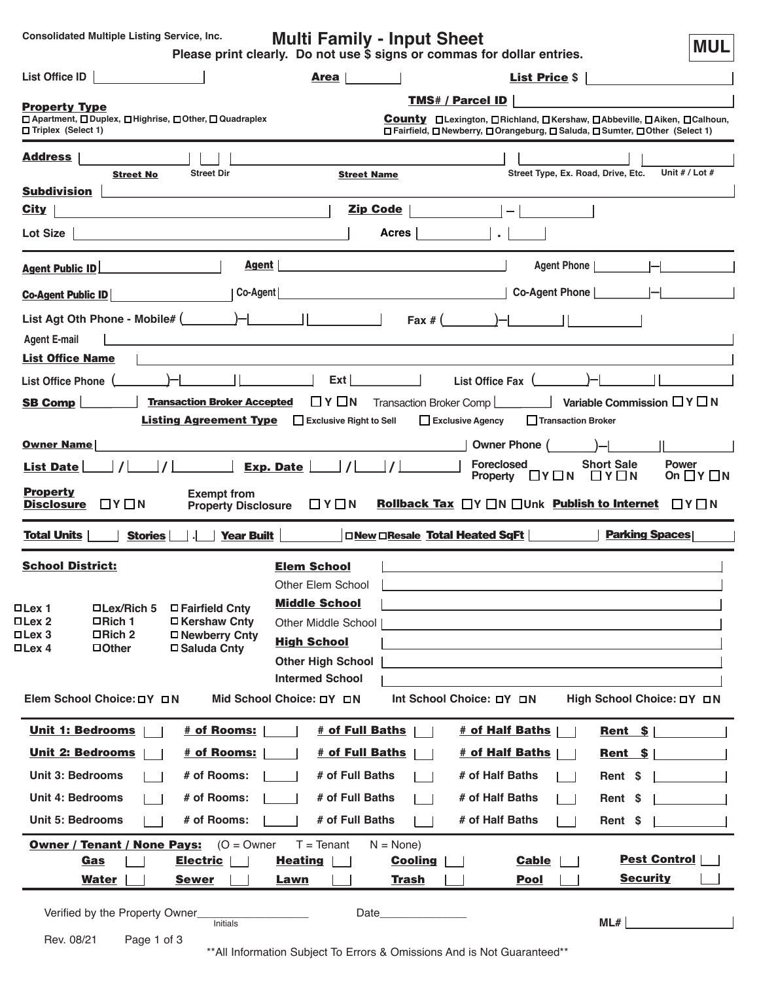**Consolidated Multiple Listing Service, Inc.**

**Multi Family - Input Sheet**

**MUL**

| Please print clearly. Do not use \$ signs or commas for dollar entries. |  |  |
|-------------------------------------------------------------------------|--|--|
|-------------------------------------------------------------------------|--|--|

| List Office ID                                                                                                                                                                                                                                                                                                                                                                                            | Area                                                                                                                 | <b>List Price \$</b>                                                                                                                                   |
|-----------------------------------------------------------------------------------------------------------------------------------------------------------------------------------------------------------------------------------------------------------------------------------------------------------------------------------------------------------------------------------------------------------|----------------------------------------------------------------------------------------------------------------------|--------------------------------------------------------------------------------------------------------------------------------------------------------|
|                                                                                                                                                                                                                                                                                                                                                                                                           |                                                                                                                      | <b>TMS# / Parcel ID</b>                                                                                                                                |
| <b>Property Type</b><br>□ Apartment, □ Duplex, □ Highrise, □ Other, □ Quadraplex<br>□ Triplex (Select 1)                                                                                                                                                                                                                                                                                                  |                                                                                                                      | County □Lexington, □Richland, □Kershaw, □Abbeville, □Aiken, □Calhoun,<br>□ Fairfield, □ Newberry, □ Orangeburg, □ Saluda, □ Sumter, □ Other (Select 1) |
| <b>Address</b>                                                                                                                                                                                                                                                                                                                                                                                            |                                                                                                                      |                                                                                                                                                        |
| <b>Street Dir</b><br><b>Street No</b>                                                                                                                                                                                                                                                                                                                                                                     | <b>Street Name</b>                                                                                                   | Street Type, Ex. Road, Drive, Etc.<br>Unit # / Lot #                                                                                                   |
| <b>Subdivision</b>                                                                                                                                                                                                                                                                                                                                                                                        |                                                                                                                      |                                                                                                                                                        |
| <u>City</u><br><u> 1980 - Johann Barbara, martxa alemaniar a</u>                                                                                                                                                                                                                                                                                                                                          | <b>Zip Code</b>                                                                                                      |                                                                                                                                                        |
| Lot Size<br><u> 1989 - Johann Barbara, martxa eta idazlea (h. 1989).</u>                                                                                                                                                                                                                                                                                                                                  | Acres                                                                                                                |                                                                                                                                                        |
| Agent  <br><b>Agent Public ID</b>                                                                                                                                                                                                                                                                                                                                                                         |                                                                                                                      | Agent Phone                                                                                                                                            |
| Co-Agent<br><b>Co-Agent Public ID</b>                                                                                                                                                                                                                                                                                                                                                                     | <u> 1980 - Johann Barn, amerikansk politiker (d. 1980)</u>                                                           | Co-Agent Phone    -                                                                                                                                    |
| List Agt Oth Phone - Mobile# $($ $)$ $  $ $ $ $ $ $ $ $ $ $ $                                                                                                                                                                                                                                                                                                                                             |                                                                                                                      | Fax # $($ $)$ $  $ $ $ $ $                                                                                                                             |
| <b>Agent E-mail</b>                                                                                                                                                                                                                                                                                                                                                                                       | <u> 1980 - John Stein, markin film ar yn y brenin y brenin y brenin y brenin y brenin y brenin y brenin y brenin</u> |                                                                                                                                                        |
| <b>List Office Name</b>                                                                                                                                                                                                                                                                                                                                                                                   |                                                                                                                      |                                                                                                                                                        |
| $\overline{a}$ $\overline{a}$ $\overline{a}$ $\overline{a}$ $\overline{a}$ $\overline{a}$ $\overline{a}$ $\overline{a}$ $\overline{a}$ $\overline{a}$ $\overline{a}$ $\overline{a}$ $\overline{a}$ $\overline{a}$ $\overline{a}$ $\overline{a}$ $\overline{a}$ $\overline{a}$ $\overline{a}$ $\overline{a}$ $\overline{a}$ $\overline{a}$ $\overline{a}$ $\overline{a}$ $\overline{$<br>List Office Phone | Ext                                                                                                                  | List Office Fax (                                                                                                                                      |
| <b>Transaction Broker Accepted</b><br><b>SB Comp</b>                                                                                                                                                                                                                                                                                                                                                      | $\Box$ Y $\Box$ N<br>Transaction Broker Comp                                                                         | Variable Commission $\Box Y \Box N$                                                                                                                    |
|                                                                                                                                                                                                                                                                                                                                                                                                           | <b>Listing Agreement Type Exclusive Right to Sell</b>                                                                | Transaction Broker<br>Exclusive Agency                                                                                                                 |
| <b>Owner Name</b>                                                                                                                                                                                                                                                                                                                                                                                         |                                                                                                                      | <b>Owner Phone</b>                                                                                                                                     |
| $\vert I \vert$<br>List Date                                                                                                                                                                                                                                                                                                                                                                              | Exp. Date $ $ /                                                                                                      | <b>Foreclosed</b><br><b>Short Sale</b><br><b>Power</b><br>Property $\Box Y \Box N$<br>$\Box$ Y $\Box$ N<br>On $\Box Y \Box N$                          |
| <b>Property</b><br><b>Exempt from</b><br>$\Box$ $Y$ $\Box$ $N$<br><b>Disclosure</b><br><b>Property Disclosure</b>                                                                                                                                                                                                                                                                                         | $\Box$ Y $\Box$ N                                                                                                    | <b>Rollback Tax</b> □Y □N □Unk <b>Publish to Internet</b><br>$\Box Y \Box N$                                                                           |
| <b>Total Units</b><br><b>Stories</b><br><b>Year Built</b>                                                                                                                                                                                                                                                                                                                                                 | $\Box$ New $\Box$ Resale Total Heated SqFt                                                                           | <b>Parking Spaces</b>                                                                                                                                  |
| <b>School District:</b>                                                                                                                                                                                                                                                                                                                                                                                   | <b>Elem School</b>                                                                                                   |                                                                                                                                                        |
|                                                                                                                                                                                                                                                                                                                                                                                                           | Other Elem School                                                                                                    |                                                                                                                                                        |
| ロLex/Rich 5<br>□Lex 1<br><b>□ Fairfield Cnty</b>                                                                                                                                                                                                                                                                                                                                                          | <b>Middle School</b>                                                                                                 |                                                                                                                                                        |
| □Lex 2<br>□ Kershaw Cnty<br>□Rich 1<br>□Lex 3<br>□Rich 2<br>□ Newberry Cnty                                                                                                                                                                                                                                                                                                                               | Other Middle School                                                                                                  |                                                                                                                                                        |
| <b>DLex 4</b><br><b>DOther</b><br>□ Saluda Cnty                                                                                                                                                                                                                                                                                                                                                           | <b>High School</b>                                                                                                   |                                                                                                                                                        |
|                                                                                                                                                                                                                                                                                                                                                                                                           | <b>Other High School</b>                                                                                             |                                                                                                                                                        |
| Elem School Choice: DY DN                                                                                                                                                                                                                                                                                                                                                                                 | <b>Intermed School</b><br>Mid School Choice: DY DN                                                                   | Int School Choice: DY DN<br>High School Choice: DY DN                                                                                                  |
|                                                                                                                                                                                                                                                                                                                                                                                                           |                                                                                                                      |                                                                                                                                                        |
| # of Rooms:<br>Unit 1: Bedrooms                                                                                                                                                                                                                                                                                                                                                                           | # of Full Baths                                                                                                      | # of Half Baths<br>$Rent$ \$                                                                                                                           |
| <b>Unit 2: Bedrooms</b><br><u># of Rooms:</u>                                                                                                                                                                                                                                                                                                                                                             | # of Full Baths                                                                                                      | # of Half Baths<br>$Rent$ \$                                                                                                                           |
| <b>Unit 3: Bedrooms</b><br># of Rooms:                                                                                                                                                                                                                                                                                                                                                                    | # of Full Baths                                                                                                      | # of Half Baths<br>Rent \$                                                                                                                             |
| # of Rooms:<br><b>Unit 4: Bedrooms</b>                                                                                                                                                                                                                                                                                                                                                                    | # of Full Baths                                                                                                      | # of Half Baths<br>Rent \$                                                                                                                             |
| # of Rooms:<br><b>Unit 5: Bedrooms</b>                                                                                                                                                                                                                                                                                                                                                                    | # of Full Baths                                                                                                      | # of Half Baths<br>Rent \$                                                                                                                             |
| <b>Owner / Tenant / None Pays:</b><br>$(O = Owner$                                                                                                                                                                                                                                                                                                                                                        | $T = T$ enant<br>$N = None$                                                                                          |                                                                                                                                                        |
| Gas<br><b>Electric</b>                                                                                                                                                                                                                                                                                                                                                                                    |                                                                                                                      |                                                                                                                                                        |
| <b>Water</b><br><b>Sewer</b>                                                                                                                                                                                                                                                                                                                                                                              | <b>Heating</b><br><b>Cooling</b><br><b>Trash</b><br>Lawn                                                             | <b>Pest Control</b><br><b>Cable</b><br><b>Security</b><br><b>Pool</b>                                                                                  |
| Verified by the Property Owner_                                                                                                                                                                                                                                                                                                                                                                           | Date                                                                                                                 |                                                                                                                                                        |
| Initials<br>Rev. 08/21<br>Page 1 of 3                                                                                                                                                                                                                                                                                                                                                                     |                                                                                                                      | ML#                                                                                                                                                    |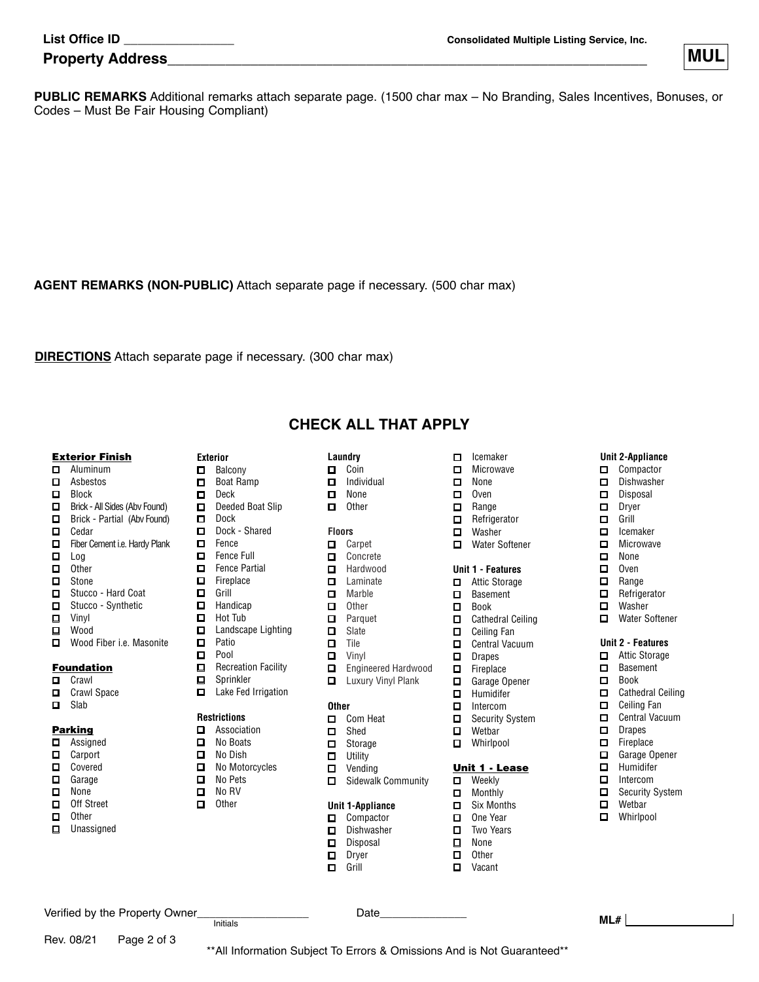| <b>List Office ID</b> |  |
|-----------------------|--|
|-----------------------|--|

| <b>Property Address</b> | .<br>IVI L |
|-------------------------|------------|
|                         |            |



**PUBLIC REMARKS** Additional remarks attach separate page. (1500 char max – No Branding, Sales Incentives, Bonuses, or Codes – Must Be Fair Housing Compliant)

**AGENT REMARKS (NON-PUBLIC)** Attach separate page if necessary. (500 char max)

**DIRECTIONS** Attach separate page if necessary. (300 char max)

## Exterior Finish

- Aluminum
- Asbestos
- D Block
- Brick All Sides (Abv Found)
- $\Box$ Brick - Partial (Abv Found)  $\Box$  Cedar
- Fiber Cement i.e. Hardy Plank
- $\Box$  Log
- $\Box$  Other
- □ Stone
- □ Stucco Hard Coat
- □ Stucco Synthetic
- Vinyl
- Wood
- Wood Fiber i.e. Masonite

# Foundation

- **D** Crawl
- **D** Crawl Space
- D Slab

## **Parking**

- Assigned
- □ Carport **Q** Covered
- □ Garage
- $\Box$  None
- Off Street
- $\Box$  Other
- **U** Unassigned

Rev. 08/21 Page 2 of 3

- **Exterior D** Balcony
- Boat Ramp
- Deck
- $\Box$ Deeded Boat Slip
- Dock
- Dock Shared
- E Fence
- Fence Full
- Fence Partial
- $\Box$  Fireplace<br> $\Box$  Grill
	- Grill
- $\Box$ Handicap  $\Box$
- Hot Tub  $\Box$ Landscape Lighting
- $\Box$ Patio
- **D** Pool
- $\Box$  Recreation Facility
- □ Sprinkler
- $\Box$  Lake Fed Irrigation

## **Restrictions**

- Association □ No Boats
- 
- □ No Dish<br>□ No Moto No Motorcycles
- □ No Pets
- $\Box$  No RV<br> $\Box$  Other
- **Other**

Verified by the Property Owner\_\_\_\_\_\_\_\_\_\_\_\_\_\_\_\_\_\_ Date\_\_\_\_\_\_\_\_\_\_\_\_\_\_

- 
- 

 $\square$  Coin  $\Box$  Individual □ None

**CHECK ALL THAT APPLY**

 $\Box$  Other

**Laundry**

## **Floors**

- □ Carpet
- □ Concrete
- $\Box$ Hardwood
- **□** Laminate<br>□ Marble Marble
- $\Box$  Other
- **D** Parquet
- $\square$  Slate
- $\square$  Tile
- **D** Vinyl
- Engineered Hardwood
- **L** Luxury Vinyl Plank

### **Other**

- Com Heat
- □ Shed
- □ Storage  $\Box$  Utility
- 
- $\Box$  Vending<br> $\Box$  Sidewalk Sidewalk Community

Initials **ML#**

\*\*All Information Subject To Errors & Omissions And is Not Guaranteed\*\*

### **Unit 1-Appliance**

- Compactor
- Dishwasher
- Disposal Dryer
- **D** Grill

 $\Box$  Icemaker

**Unit 2-Appliance** Compactor Dishwasher Disposal Dryer  $\Box$  Grill<br> $\Box$  Icem Icemaker **D** Microwave  $\square$  None  $\Box$  Oven □ Range Refrigerator ■ Washer ■ Water Softener

**Unit 2 - Features** □ Attic Storage □ Basement □ Book

 $\square$  Cathedral Ceiling **D** Ceiling Fan  $\square$  Central Vacuum D Drapes  $\Box$  Fireplace □ Garage Opener  $\Box$  Humidifer Intercom □ Security System **D** Wetbar **D** Whirlpool

- **D** Microwave
- □ None
- $\Box$  Oven
- $\Box$  Range<br> $\Box$  Refrige
- **Refrigerator**
- 
- □ Washer<br>□ Water S Water Softener

## **Unit 1 - Features**

□ Attic Storage

# ■ Basement

□ Ceiling Fan  $\Box$  Central Vacuum D Drapes  $\Box$  Fireplace Garage Opener  $\Box$  Humidifer □ Intercom □ Security System **D** Wethar **D** Whirlpool

- Book
- Cathedral Ceiling

Unit 1 - Lease **D** Weekly **D** Monthly □ Six Months One Year Two Years

 None  $\Box$  Other **D** Vacant